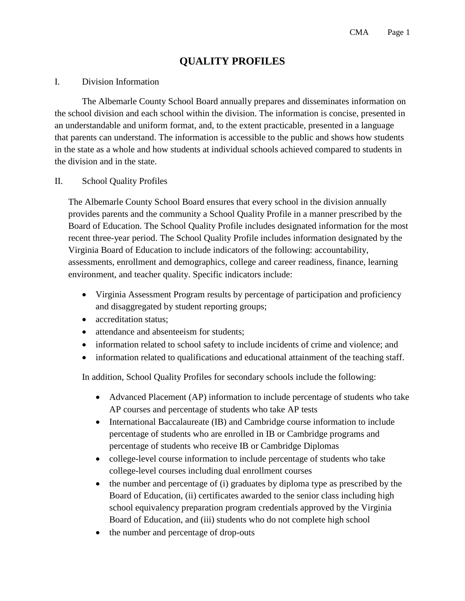## **QUALITY PROFILES**

## I. Division Information

The Albemarle County School Board annually prepares and disseminates information on the school division and each school within the division. The information is concise, presented in an understandable and uniform format, and, to the extent practicable, presented in a language that parents can understand. The information is accessible to the public and shows how students in the state as a whole and how students at individual schools achieved compared to students in the division and in the state.

## II. School Quality Profiles

The Albemarle County School Board ensures that every school in the division annually provides parents and the community a School Quality Profile in a manner prescribed by the Board of Education. The School Quality Profile includes designated information for the most recent three-year period. The School Quality Profile includes information designated by the Virginia Board of Education to include indicators of the following: accountability, assessments, enrollment and demographics, college and career readiness, finance, learning environment, and teacher quality. Specific indicators include:

- Virginia Assessment Program results by percentage of participation and proficiency and disaggregated by student reporting groups;
- accreditation status:
- attendance and absenteeism for students;
- information related to school safety to include incidents of crime and violence; and
- information related to qualifications and educational attainment of the teaching staff.

In addition, School Quality Profiles for secondary schools include the following:

- Advanced Placement (AP) information to include percentage of students who take AP courses and percentage of students who take AP tests
- International Baccalaureate (IB) and Cambridge course information to include percentage of students who are enrolled in IB or Cambridge programs and percentage of students who receive IB or Cambridge Diplomas
- college-level course information to include percentage of students who take college-level courses including dual enrollment courses
- the number and percentage of (i) graduates by diploma type as prescribed by the Board of Education, (ii) certificates awarded to the senior class including high school equivalency preparation program credentials approved by the Virginia Board of Education, and (iii) students who do not complete high school
- the number and percentage of drop-outs